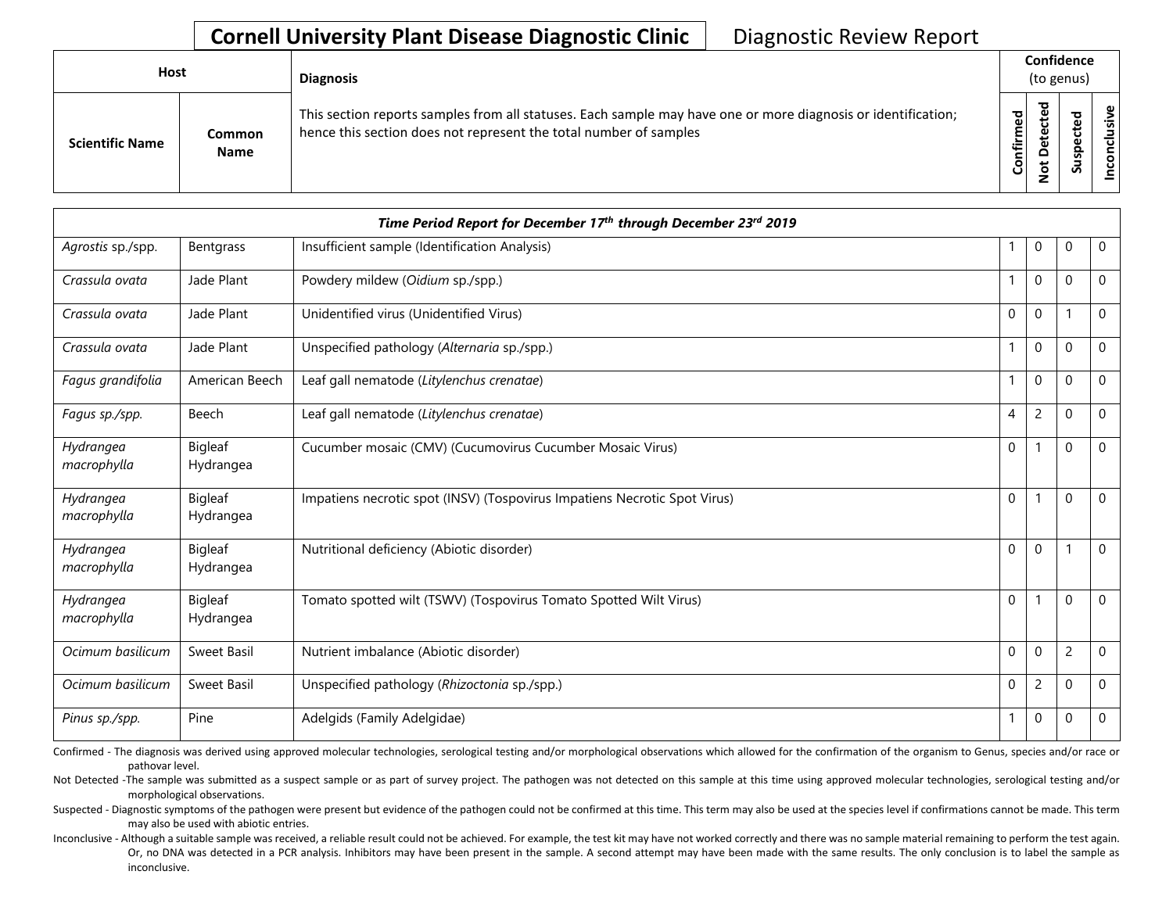## **Cornell University Plant Disease Diagnostic Clinic | Diagnostic Review Report**

| <b>Host</b>            |                              | <b>Diagnosis</b>                                                                                                                                                                   | Confidence<br>(to genus) |             |                  |                          |
|------------------------|------------------------------|------------------------------------------------------------------------------------------------------------------------------------------------------------------------------------|--------------------------|-------------|------------------|--------------------------|
| <b>Scientific Name</b> | <b>Common</b><br><b>Name</b> | This section reports samples from all statuses. Each sample may have one or more diagnosis or identification;<br>hence this section does not represent the total number of samples | ᅙ<br>nfirme<br>යි        | ಕ<br>Φ<br>Φ | ᇃ<br>௨<br>S<br>S | ω<br><u>'ল</u><br>ᇹ<br>g |

| Time Period Report for December 17th through December 23rd 2019 |                      |                                                                           |                |                |                |          |  |  |  |
|-----------------------------------------------------------------|----------------------|---------------------------------------------------------------------------|----------------|----------------|----------------|----------|--|--|--|
| Agrostis sp./spp.                                               | Bentgrass            | Insufficient sample (Identification Analysis)                             |                | 0              | $\mathbf 0$    | 0        |  |  |  |
| Crassula ovata                                                  | Jade Plant           | Powdery mildew (Oidium sp./spp.)                                          |                | $\Omega$       | $\mathbf 0$    | 0        |  |  |  |
| Crassula ovata                                                  | Jade Plant           | Unidentified virus (Unidentified Virus)                                   | 0              | $\Omega$       |                | 0        |  |  |  |
| Crassula ovata                                                  | Jade Plant           | Unspecified pathology (Alternaria sp./spp.)                               | $\mathbf{1}$   | $\mathbf{0}$   | $\mathbf 0$    | $\Omega$ |  |  |  |
| Fagus grandifolia                                               | American Beech       | Leaf gall nematode (Litylenchus crenatae)                                 |                | $\mathbf{0}$   | $\mathbf 0$    | 0        |  |  |  |
| Fagus sp./spp.                                                  | Beech                | Leaf gall nematode (Litylenchus crenatae)                                 | $\overline{4}$ | $\overline{c}$ | $\mathbf 0$    | 0        |  |  |  |
| Hydrangea<br>macrophylla                                        | Bigleaf<br>Hydrangea | Cucumber mosaic (CMV) (Cucumovirus Cucumber Mosaic Virus)                 | $\mathbf 0$    |                | $\mathbf 0$    | 0        |  |  |  |
| Hydrangea<br>macrophylla                                        | Bigleaf<br>Hydrangea | Impatiens necrotic spot (INSV) (Tospovirus Impatiens Necrotic Spot Virus) | $\mathbf 0$    |                | $\Omega$       | $\Omega$ |  |  |  |
| Hydrangea<br>macrophylla                                        | Bigleaf<br>Hydrangea | Nutritional deficiency (Abiotic disorder)                                 | $\mathbf 0$    | 0              |                | 0        |  |  |  |
| Hydrangea<br>macrophylla                                        | Bigleaf<br>Hydrangea | Tomato spotted wilt (TSWV) (Tospovirus Tomato Spotted Wilt Virus)         | $\mathbf 0$    |                | $\mathbf 0$    | 0        |  |  |  |
| Ocimum basilicum                                                | Sweet Basil          | Nutrient imbalance (Abiotic disorder)                                     | $\Omega$       | $\Omega$       | $\overline{c}$ | $\Omega$ |  |  |  |
| Ocimum basilicum                                                | Sweet Basil          | Unspecified pathology (Rhizoctonia sp./spp.)                              | $\mathbf 0$    | $\overline{c}$ | $\mathbf 0$    | 0        |  |  |  |
| Pinus sp./spp.                                                  | Pine                 | Adelgids (Family Adelgidae)                                               | $\mathbf{1}$   | $\Omega$       | $\mathbf 0$    | $\Omega$ |  |  |  |

Confirmed - The diagnosis was derived using approved molecular technologies, serological testing and/or morphological observations which allowed for the confirmation of the organism to Genus, species and/or race or pathovar level.

Not Detected -The sample was submitted as a suspect sample or as part of survey project. The pathogen was not detected on this sample at this time using approved molecular technologies, serological testing and/or morphological observations.

Suspected - Diagnostic symptoms of the pathogen were present but evidence of the pathogen could not be confirmed at this time. This term may also be used at the species level if confirmations cannot be made. This term may also be used with abiotic entries.

Or, no DNA was detected in a PCR analysis. Inhibitors may have been present in the sample. A second attempt may have been made with the same results. The only conclusion is to label the sample as Inconclusive - Although a suitable sample was received, a reliable result could not be achieved. For example, the test kit may have not worked correctly and there was no sample material remaining to perform the test again. inconclusive.